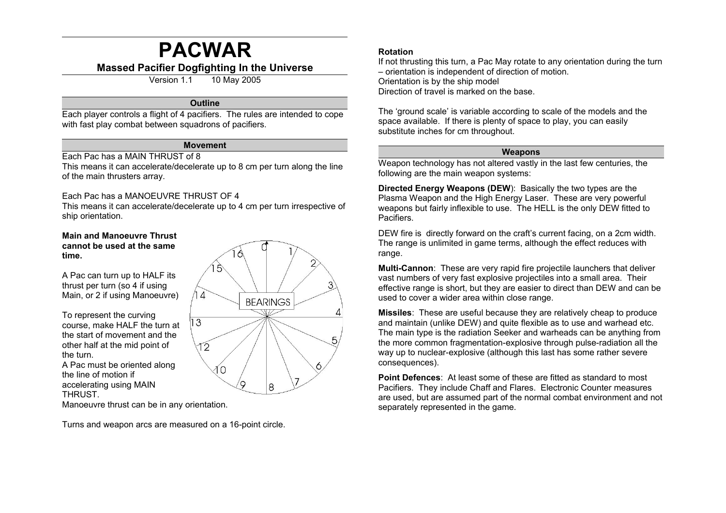# **PACWAR**

## **Massed Pacifier Dogfighting In the Universe**

Version 1.1 10 May 2005

#### **Outline**

Each player controls a flight of 4 pacifiers. The rules are intended to cope with fast play combat between squadrons of pacifiers.

#### **Movement**

#### Each Pac has a MAIN THRUST of 8

This means it can accelerate/decelerate up to 8 cm per turn along the line of the main thrusters array.

#### Each Pac has a MANOEUVRE THRUST OF 4

This means it can accelerate/decelerate up to 4 cm per turn irrespective of ship orientation.

#### **Main and Manoeuvre Thrust cannot be used at the same time.**

A Pac can turn up to HALF its thrust per turn (so 4 if using Main, or 2 if using Manoeuvre)

To represent the curving course, make HALF the turn at the start of movement and the other half at the mid point of the turn. A Pac must be oriented along

the line of motion if accelerating using MAIN **THRUST** 

Manoeuvre thrust can be in any orientation.

Turns and weapon arcs are measured on a 16-point circle.



### **Rotation**

If not thrusting this turn, a Pac May rotate to any orientation during the turn – orientation is independent of direction of motion. Orientation is by the ship model Direction of travel is marked on the base.

The 'ground scale' is variable according to scale of the models and the space available. If there is plenty of space to play, you can easily substitute inches for cm throughout.

#### **Weapons**

Weapon technology has not altered vastly in the last few centuries, the following are the main weapon systems:

**Directed Energy Weapons (DEW**): Basically the two types are the Plasma Weapon and the High Energy Laser. These are very powerful weapons but fairly inflexible to use. The HELL is the only DEW fitted to Pacifiers.

DEW fire is directly forward on the craft's current facing, on a 2cm width. The range is unlimited in game terms, although the effect reduces with range.

**Multi-Cannon**: These are very rapid fire projectile launchers that deliver vast numbers of very fast explosive projectiles into a small area. Their effective range is short, but they are easier to direct than DEW and can be used to cover a wider area within close range.

**Missiles**: These are useful because they are relatively cheap to produce and maintain (unlike DEW) and quite flexible as to use and warhead etc. The main type is the radiation Seeker and warheads can be anything from the more common fragmentation-explosive through pulse-radiation all the way up to nuclear-explosive (although this last has some rather severe consequences).

**Point Defences**: At least some of these are fitted as standard to most Pacifiers. They include Chaff and Flares. Electronic Counter measures are used, but are assumed part of the normal combat environment and not separately represented in the game.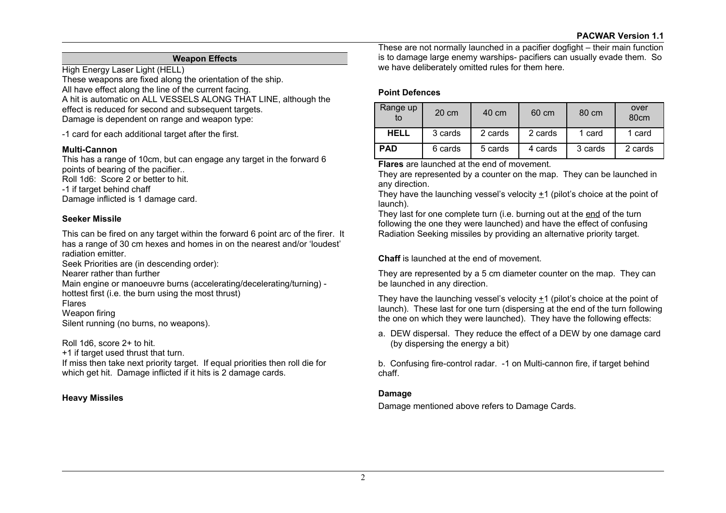### **Weapon Effects**

High Energy Laser Light (HELL) These weapons are fixed along the orientation of the ship. All have effect along the line of the current facing. A hit is automatic on ALL VESSELS ALONG THAT LINE, although the effect is reduced for second and subsequent targets. Damage is dependent on range and weapon type:

-1 card for each additional target after the first.

#### **Multi-Cannon**

This has a range of 10cm, but can engage any target in the forward 6 points of bearing of the pacifier.. Roll 1d6: Score 2 or better to hit. -1 if target behind chaff Damage inflicted is 1 damage card.

#### **Seeker Missile**

This can be fired on any target within the forward 6 point arc of the firer. It has a range of 30 cm hexes and homes in on the nearest and/or 'loudest' radiation emitter.

Seek Priorities are (in descending order):

Nearer rather than further

Main engine or manoeuvre burns (accelerating/decelerating/turning) hottest first (i.e. the burn using the most thrust)

Flares

Weapon firing

Silent running (no burns, no weapons).

Roll 1d6, score 2+ to hit.

+1 if target used thrust that turn.

If miss then take next priority target. If equal priorities then roll die for which get hit. Damage inflicted if it hits is 2 damage cards.

## **Heavy Missiles**

These are not normally launched in a pacifier dogfight – their main function is to damage large enemy warships- pacifiers can usually evade them. So we have deliberately omitted rules for them here.

### **Point Defences**

| Range up<br>to | 20 cm   | 40 cm   | 60 cm   | 80 cm   | over<br>80 <sub>cm</sub> |
|----------------|---------|---------|---------|---------|--------------------------|
| <b>HELL</b>    | 3 cards | 2 cards | 2 cards | 1 card  | 1 card                   |
| <b>PAD</b>     | 6 cards | 5 cards | 4 cards | 3 cards | 2 cards                  |

**Flares** are launched at the end of movement.

They are represented by a counter on the map. They can be launched in any direction.

They have the launching vessel's velocity +1 (pilot's choice at the point of launch).

They last for one complete turn (i.e. burning out at the end of the turn following the one they were launched) and have the effect of confusing Radiation Seeking missiles by providing an alternative priority target.

## **Chaff** is launched at the end of movement.

They are represented by a 5 cm diameter counter on the map. They can be launched in any direction.

They have the launching vessel's velocity +1 (pilot's choice at the point of launch). These last for one turn (dispersing at the end of the turn following the one on which they were launched). They have the following effects:

a. DEW dispersal. They reduce the effect of a DEW by one damage card (by dispersing the energy a bit)

b. Confusing fire-control radar. -1 on Multi-cannon fire, if target behind chaff.

#### **Damage**

Damage mentioned above refers to Damage Cards.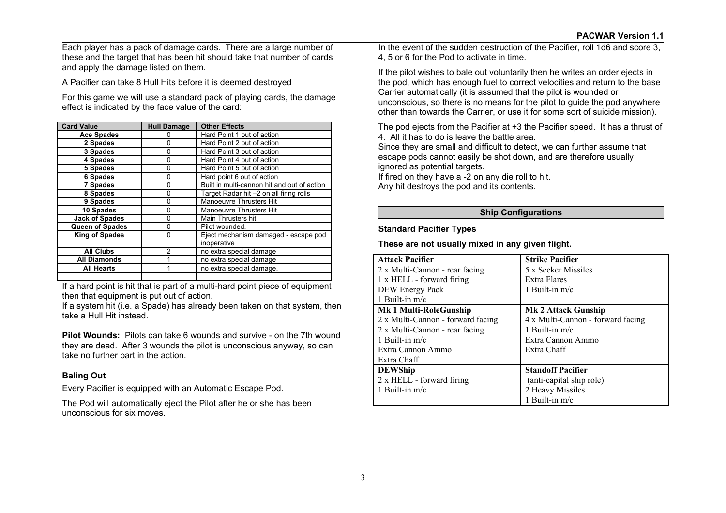Each player has a pack of damage cards. There are a large number of these and the target that has been hit should take that number of cards and apply the damage listed on them.

A Pacifier can take 8 Hull Hits before it is deemed destroyed

For this game we will use a standard pack of playing cards, the damage effect is indicated by the face value of the card:

| <b>Card Value</b>      | <b>Hull Damage</b> | <b>Other Effects</b>                        |
|------------------------|--------------------|---------------------------------------------|
| <b>Ace Spades</b>      | 0                  | Hard Point 1 out of action                  |
| 2 Spades               | 0                  | Hard Point 2 out of action                  |
| 3 Spades               | 0                  | Hard Point 3 out of action                  |
| 4 Spades               | 0                  | Hard Point 4 out of action                  |
| 5 Spades               | 0                  | Hard Point 5 out of action                  |
| <b>6 Spades</b>        | 0                  | Hard point 6 out of action                  |
| <b>7 Spades</b>        | 0                  | Built in multi-cannon hit and out of action |
| 8 Spades               | 0                  | Target Radar hit -2 on all firing rolls     |
| 9 Spades               | 0                  | <b>Manoeuvre Thrusters Hit</b>              |
| 10 Spades              | 0                  | <b>Manoeuvre Thrusters Hit</b>              |
| <b>Jack of Spades</b>  | 0                  | Main Thrusters hit                          |
| <b>Queen of Spades</b> | 0                  | Pilot wounded.                              |
| <b>King of Spades</b>  | 0                  | Eject mechanism damaged - escape pod        |
|                        |                    | inoperative                                 |
| <b>All Clubs</b>       | 2                  | no extra special damage                     |
| <b>All Diamonds</b>    |                    | no extra special damage                     |
| <b>All Hearts</b>      |                    | no extra special damage.                    |
|                        |                    |                                             |

If a hard point is hit that is part of a multi-hard point piece of equipment then that equipment is put out of action.

If a system hit (i.e. a Spade) has already been taken on that system, then take a Hull Hit instead.

**Pilot Wounds:** Pilots can take 6 wounds and survive - on the 7th wound they are dead. After 3 wounds the pilot is unconscious anyway, so can take no further part in the action.

## **Baling Out**

Every Pacifier is equipped with an Automatic Escape Pod.

The Pod will automatically eject the Pilot after he or she has been unconscious for six moves.

In the event of the sudden destruction of the Pacifier, roll 1d6 and score 3, 4, 5 or 6 for the Pod to activate in time.

If the pilot wishes to bale out voluntarily then he writes an order ejects in the pod, which has enough fuel to correct velocities and return to the base Carrier automatically (it is assumed that the pilot is wounded or unconscious, so there is no means for the pilot to guide the pod anywhere other than towards the Carrier, or use it for some sort of suicide mission).

The pod ejects from the Pacifier at +3 the Pacifier speed. It has a thrust of 4. All it has to do is leave the battle area.

Since they are small and difficult to detect, we can further assume that escape pods cannot easily be shot down, and are therefore usually ignored as potential targets.

If fired on they have a -2 on any die roll to hit. Any hit destroys the pod and its contents.

## **Ship Configurations**

## **Standard Pacifier Types**

## **These are not usually mixed in any given flight.**

| <b>Attack Pacifier</b>            | <b>Strike Pacifier</b>            |
|-----------------------------------|-----------------------------------|
| 2 x Multi-Cannon - rear facing    | 5 x Seeker Missiles               |
| 1 x HELL - forward firing         | Extra Flares                      |
| DEW Energy Pack                   | 1 Built-in $m/c$                  |
| 1 Built-in $m/c$                  |                                   |
| <b>Mk 1 Multi-RoleGunship</b>     | <b>Mk 2 Attack Gunship</b>        |
| 2 x Multi-Cannon - forward facing | 4 x Multi-Cannon - forward facing |
| 2 x Multi-Cannon - rear facing    | 1 Built-in $m/c$                  |
| 1 Built-in $m/c$                  | Extra Cannon Ammo                 |
| Extra Cannon Ammo                 | Extra Chaff                       |
| Extra Chaff                       |                                   |
| <b>DEWShip</b>                    | <b>Standoff Pacifier</b>          |
| 2 x HELL - forward firing         | (anti-capital ship role)          |
| 1 Built-in $m/c$                  | 2 Heavy Missiles                  |
|                                   | 1 Built-in $m/c$                  |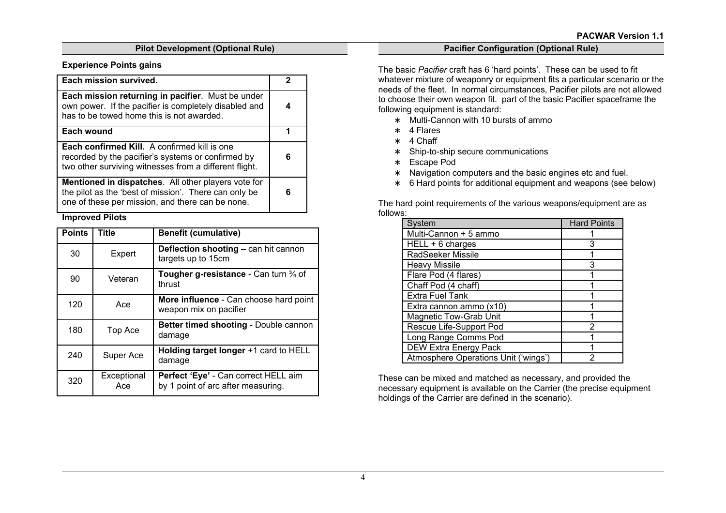## **Pilot Development (Optional Rule)**

#### **Experience Points gains**

| <b>Each mission survived.</b>                                                                                                                                           |  |
|-------------------------------------------------------------------------------------------------------------------------------------------------------------------------|--|
| Each mission returning in pacifier. Must be under<br>own power. If the pacifier is completely disabled and<br>has to be towed home this is not awarded.                 |  |
| Each wound                                                                                                                                                              |  |
| <b>Each confirmed Kill.</b> A confirmed kill is one<br>recorded by the pacifier's systems or confirmed by<br>two other surviving witnesses from a different flight.     |  |
| <b>Mentioned in dispatches.</b> All other players vote for<br>the pilot as the 'best of mission'. There can only be<br>one of these per mission, and there can be none. |  |

## **Improved Pilots**

| <b>Points</b> | <b>Title</b>       | <b>Benefit (cumulative)</b>                                                |
|---------------|--------------------|----------------------------------------------------------------------------|
| 30            | Expert             | Deflection shooting - can hit cannon<br>targets up to 15cm                 |
| 90            | Veteran            | Tougher g-resistance - Can turn 3/4 of<br>thrust                           |
| 120           | Ace                | More influence - Can choose hard point<br>weapon mix on pacifier           |
| 180           | Top Ace            | Better timed shooting - Double cannon<br>damage                            |
| 240           | Super Ace          | Holding target longer +1 card to HELL<br>damage                            |
| 320           | Exceptional<br>Ace | Perfect 'Eye' - Can correct HELL aim<br>by 1 point of arc after measuring. |

#### **Pacifier Configuration (Optional Rule)**

The basic *Pacifier* craft has 6 'hard points'. These can be used to fit whatever mixture of weaponry or equipment fits a particular scenario or the needs of the fleet. In normal circumstances, Pacifier pilots are not allowed to choose their own weapon fit. part of the basic Pacifier spaceframe the following equipment is standard:

- ∗ Multi-Cannon with 10 bursts of ammo
- ∗ 4 Flares
- ∗ 4 Chaff
- ∗ Ship-to-ship secure communications
- ∗ Escape Pod
- ∗ Navigation computers and the basic engines etc and fuel.
- ∗ 6 Hard points for additional equipment and weapons (see below)

The hard point requirements of the various weapons/equipment are as follows:

| System                               | <b>Hard Points</b> |
|--------------------------------------|--------------------|
| Multi-Cannon + 5 ammo                |                    |
| HELL + 6 charges                     | 3                  |
| RadSeeker Missile                    |                    |
| <b>Heavy Missile</b>                 | 3                  |
| Flare Pod (4 flares)                 |                    |
| Chaff Pod (4 chaff)                  |                    |
| <b>Extra Fuel Tank</b>               |                    |
| Extra cannon ammo (x10)              |                    |
| <b>Magnetic Tow-Grab Unit</b>        |                    |
| Rescue Life-Support Pod              | 2                  |
| Long Range Comms Pod                 |                    |
| <b>DEW Extra Energy Pack</b>         |                    |
| Atmosphere Operations Unit ('wings') | 2                  |

These can be mixed and matched as necessary, and provided the necessary equipment is available on the Carrier (the precise equipment holdings of the Carrier are defined in the scenario).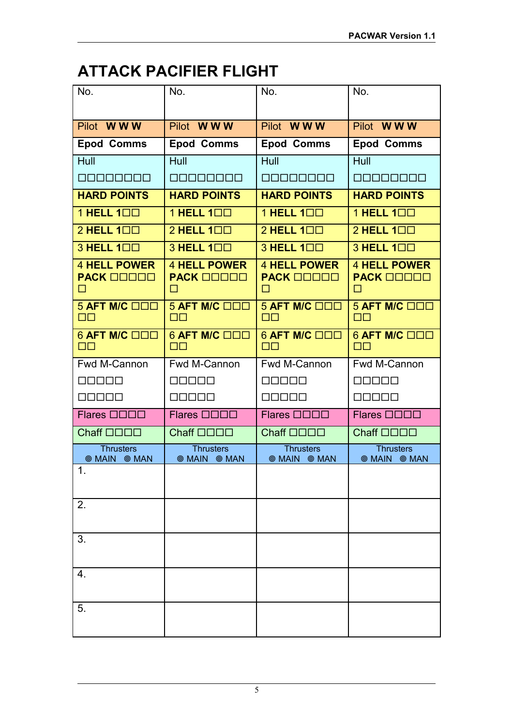## **ATTACK PACIFIER FLIGHT**

| No.                                           | No.                                           | No.                                           | No.                                           |
|-----------------------------------------------|-----------------------------------------------|-----------------------------------------------|-----------------------------------------------|
|                                               |                                               |                                               |                                               |
| Pilot WWW                                     | Pilot WWW                                     | Pilot WWW                                     | Pilot WWW                                     |
| <b>Epod Comms</b>                             | <b>Epod Comms</b>                             | <b>Epod Comms</b>                             | <b>Epod Comms</b>                             |
| Hull                                          | Hull                                          | Hull                                          | Hull                                          |
| an an an an                                   | <u>ononono</u>                                | <b>BEBEEBEE</b>                               | 00000000                                      |
| <b>HARD POINTS</b>                            | <b>HARD POINTS</b>                            | <b>HARD POINTS</b>                            | <b>HARD POINTS</b>                            |
| 1 HELL 100                                    | 1 HELL 100                                    | 1 HELL 100                                    | 1 HELL 100                                    |
| 2 HELL 100                                    | 2 HELL 100                                    | 2 HELL 100                                    | $2$ HELL $1\square\square$                    |
| 3 HELL 100                                    | 3 HELL 100                                    | 3 HELL 100                                    | 3 HELL 100                                    |
| <b>4 HELL POWER</b><br><b>PACK OOOOO</b><br>□ | <b>4 HELL POWER</b><br><b>PACK OOOOO</b><br>□ | <b>4 HELL POWER</b><br><b>PACK OOOOO</b><br>□ | <b>4 HELL POWER</b><br><b>PACK OOOOO</b><br>□ |
| $5$ AFT M/C $\Box$ $\Box$<br>$\Box$ $\Box$    | $5$ AFT M/C $\Box$ $\Box$<br>$\Box$ $\Box$    | $5$ AFT M/C $\Box$ $\Box$<br>$\Box$           | 5 AFT M/C OOO<br>$\Box$ $\Box$                |
| <b>6 AFT M/C OOD</b><br>$\Box$                | 6 AFT M/C □□□<br>OО                           | <b>6 AFT M/C ODD</b><br>$\Box$                | <b>6 AFT M/C OOO</b><br>$\Box$                |
| Fwd M-Cannon                                  | Fwd M-Cannon                                  | Fwd M-Cannon                                  | Fwd M-Cannon                                  |
| 00000                                         | MO000                                         | 00000                                         | 00000                                         |
| 00000                                         | 80000                                         | 88888                                         | 00000                                         |
| Flares <b>ODDD</b>                            | Flares <b>ODDD</b>                            | Flares <b>OOOO</b>                            | Flares <b>OOOO</b>                            |
| Chaff <b>OOOO</b>                             | Chaff <b>OOOO</b>                             | Chaff <b>OOOO</b>                             | Chaff <b>OOOO</b>                             |
| <b>Thrusters</b><br><b>MAIN @ MAN</b>         | <b>Thrusters</b><br><b>@ MAIN @ MAN</b>       | <b>Thrusters</b><br><b>MAIN @ MAN</b>         | <b>Thrusters</b><br><b>MAIN @ MAN</b>         |
| 1.                                            |                                               |                                               |                                               |
| 2.                                            |                                               |                                               |                                               |
| 3.                                            |                                               |                                               |                                               |
| 4.                                            |                                               |                                               |                                               |
| 5.                                            |                                               |                                               |                                               |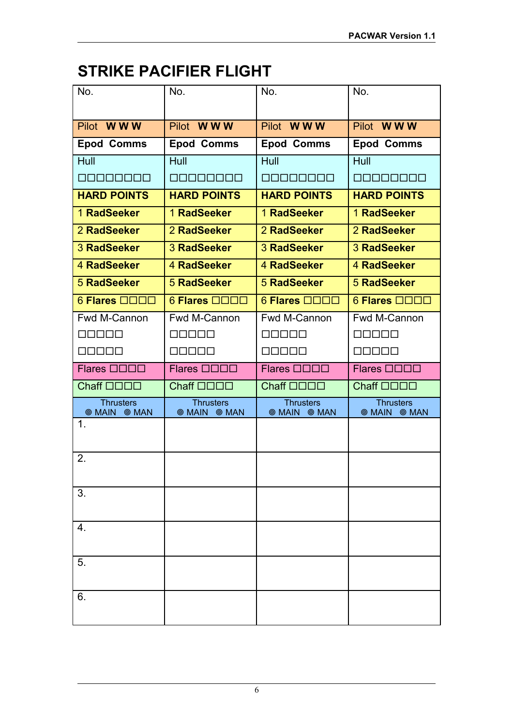## **STRIKE PACIFIER FLIGHT**

| No.                                   | No.                                     | No.                                     | No.                                     |
|---------------------------------------|-----------------------------------------|-----------------------------------------|-----------------------------------------|
| Pilot WWW                             | Pilot WWW                               | Pilot WWW                               | Pilot WWW                               |
|                                       |                                         |                                         |                                         |
| <b>Epod Comms</b>                     | <b>Epod Comms</b>                       | <b>Epod Comms</b>                       | <b>Epod Comms</b>                       |
| Hull                                  | Hull                                    | Hull                                    | Hull                                    |
| onanonan                              | <u>oonoonoo</u>                         | <u>mananana</u>                         | mananan                                 |
| <b>HARD POINTS</b>                    | <b>HARD POINTS</b>                      | <b>HARD POINTS</b>                      | <b>HARD POINTS</b>                      |
| 1 RadSeeker                           | 1 RadSeeker                             | 1 RadSeeker                             | 1 RadSeeker                             |
| 2 RadSeeker                           | 2 RadSeeker                             | 2 RadSeeker                             | 2 RadSeeker                             |
| <b>3 RadSeeker</b>                    | 3 RadSeeker                             | 3 RadSeeker                             | 3 RadSeeker                             |
| 4 RadSeeker                           | 4 RadSeeker                             | 4 RadSeeker                             | 4 RadSeeker                             |
| <b>5 RadSeeker</b>                    | <b>5 RadSeeker</b>                      | <b>5 RadSeeker</b>                      | <b>5 RadSeeker</b>                      |
| 6 Flares <b>QOOO</b>                  | 6 Flares <b>QOOO</b>                    | 6 Flares <b>QOOO</b>                    | 6 Flares <b>QOOO</b>                    |
| Fwd M-Cannon                          | Fwd M-Cannon                            | Fwd M-Cannon                            | Fwd M-Cannon                            |
| 3000                                  | 88888                                   | n na m                                  | 3000                                    |
| 00000                                 | ooooo                                   | 70000                                   | nnnoo                                   |
| Flares <b>ODDD</b>                    | Flares <b>ODDD</b>                      | Flares <b>ODDD</b>                      | Flares <b>ODDD</b>                      |
| Chaff <b>OOOO</b>                     | Chaff <b>OOOO</b>                       | Chaff <b>OOOO</b>                       | Chaff <b>OOOO</b>                       |
| <b>Thrusters</b><br><b>MAIN @ MAN</b> | <b>Thrusters</b><br><b>@ MAIN @ MAN</b> | <b>Thrusters</b><br><b>@ MAIN @ MAN</b> | <b>Thrusters</b><br><b>@ MAIN @ MAN</b> |
| 1.                                    |                                         |                                         |                                         |
|                                       |                                         |                                         |                                         |
| 2.                                    |                                         |                                         |                                         |
|                                       |                                         |                                         |                                         |
| 3.                                    |                                         |                                         |                                         |
|                                       |                                         |                                         |                                         |
| 4.                                    |                                         |                                         |                                         |
|                                       |                                         |                                         |                                         |
| 5.                                    |                                         |                                         |                                         |
|                                       |                                         |                                         |                                         |
| 6.                                    |                                         |                                         |                                         |
|                                       |                                         |                                         |                                         |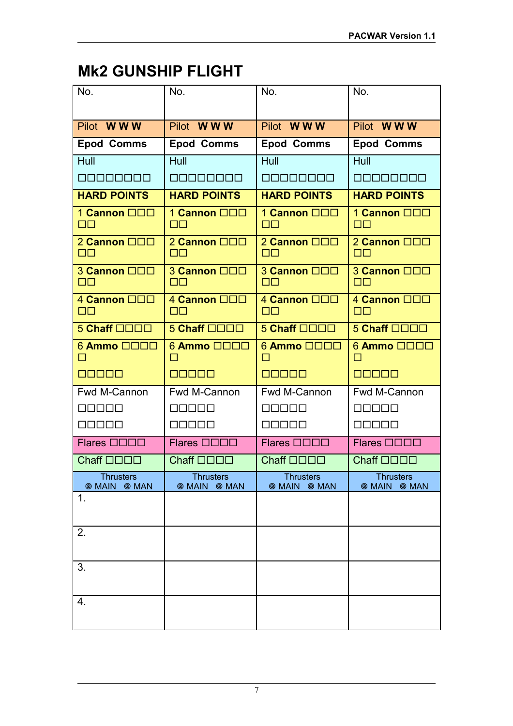## **Mk2 GUNSHIP FLIGHT**

| No.                                   | No.                                      | No.                                     | No.                                   |
|---------------------------------------|------------------------------------------|-----------------------------------------|---------------------------------------|
| Pilot WWW                             | Pilot WWW                                | Pilot WWW                               | Pilot WWW                             |
| <b>Epod Comms</b>                     | <b>Epod Comms</b>                        | <b>Epod Comms</b>                       | <b>Epod Comms</b>                     |
| Hull                                  | Hull                                     | Hull                                    | Hull                                  |
| <b>MODERADE</b>                       | <u> A BIBIN AI BIBI</u>                  | <u> A BIBIN BIBIN</u>                   | <b>A BIRDA A BIRD</b>                 |
| <b>HARD POINTS</b>                    | <b>HARD POINTS</b>                       | <b>HARD POINTS</b>                      | <b>HARD POINTS</b>                    |
| 1 Cannon <b>OOO</b>                   | 1 Cannon <b>OOO</b>                      | 1 Cannon <b>OOO</b><br>$\Box$ $\Box$    | 1 Cannon <b>OOO</b><br>$\Box$         |
| 2 Cannon <b>QQQ</b><br>$\Box$ $\Box$  | 2 Cannon <b>OOO</b><br>O۸                | 2 Cannon <b>QQD</b><br>$\Box$ $\Box$    | 2 Cannon <b>QQQ</b><br>$\Box$ $\Box$  |
| 3 Cannon <b>ODD</b><br>$\Box$ $\Box$  | 3 Cannon <b>ODD</b><br>OO                | 3 Cannon <b>OOO</b><br>$\Box$           | 3 Cannon <b>ODD</b><br>$\Box$         |
| 4 Cannon <b>OOO</b><br>$\Box$ $\Box$  | 4 Cannon <b>ODD</b><br>$\Box\Box$        | 4 Cannon <b>ODD</b><br>$\Box$ $\Box$    | 4 Cannon <b>ODD</b><br>$\Box$         |
| 5 Chaff <b>ODDD</b>                   | $5$ Chaff $\square\square\square\square$ | 5 Chaff <b>QQQQ</b>                     | 5 Chaff <b>QOOO</b>                   |
| 6 Ammo □□□□<br>П                      | 6 Ammo □□□□<br>П                         | 6 Ammo □□□□<br>ΙI                       | $6$ Ammo $\Box$ $\Box$ $\Box$<br>П    |
| <b>nnapo</b>                          | <b>REBEE</b>                             | <b>BBBBB</b>                            | <b>BEBBB</b>                          |
| Fwd M-Cannon                          | Fwd M-Cannon                             | Fwd M-Cannon                            | Fwd M-Cannon                          |
| 30000                                 | nnnnn                                    | 30000                                   | 80000                                 |
| 00000                                 | 00000                                    | 00000                                   | 00000                                 |
| Flares <b>QQQD</b>                    | Flares <b>QOOO</b>                       | Flares <b>QOOO</b>                      | Flares <b>ODDD</b>                    |
| Chaff <b>OOOO</b>                     | Chaff <b>OOOO</b>                        | Chaff <b>OOOO</b>                       | Chaff <b>OOOO</b>                     |
| <b>Thrusters</b><br><b>MAIN @ MAN</b> | <b>Thrusters</b><br><b>MAIN @ MAN</b>    | <b>Thrusters</b><br><b>@ MAIN @ MAN</b> | <b>Thrusters</b><br><b>MAIN @ MAN</b> |
| 1.                                    |                                          |                                         |                                       |
| 2.                                    |                                          |                                         |                                       |
|                                       |                                          |                                         |                                       |
| 3.                                    |                                          |                                         |                                       |
| 4.                                    |                                          |                                         |                                       |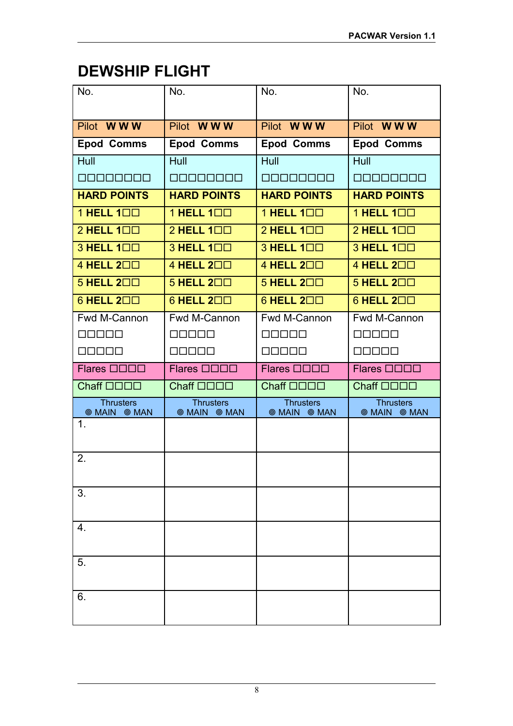## **DEWSHIP FLIGHT**

| No.                                   | No.                                     | No.                                     | No.                                     |
|---------------------------------------|-----------------------------------------|-----------------------------------------|-----------------------------------------|
|                                       |                                         |                                         |                                         |
| Pilot WWW                             | Pilot WWW                               | Pilot WWW                               | Pilot WWW                               |
| <b>Epod Comms</b>                     | <b>Epod Comms</b>                       | <b>Epod Comms</b>                       | <b>Epod Comms</b>                       |
| Hull                                  | <b>Hull</b>                             | Hull                                    | Hull                                    |
| anananan                              | <b>ROBOOCOO</b>                         | <b>REBEERS</b>                          | <b>REBEERS</b>                          |
| <b>HARD POINTS</b>                    | <b>HARD POINTS</b>                      | <b>HARD POINTS</b>                      | <b>HARD POINTS</b>                      |
| 1 HELL 100                            | 1 HELL 100                              | 1 HELL 100                              | 1 HELL 100                              |
| 2 HELL 100                            | 2 HELL 100                              | 2 HELL 100                              | $2$ HELL $1\square\square$              |
| 3 HELL 100                            | 3 HELL 100                              | 3 HELL 100                              | 3 HELL 100                              |
| 4 HELL 200                            | 4 HELL 200                              | 4 HELL 200                              | 4 HELL 200                              |
| $5$ HELL $2\square\square$            | $5$ HELL $2\square\square$              | 5 HELL 200                              | $5$ HELL $2\square\square$              |
| 6 HELL 200                            | 6 HELL 200                              | $6$ HELL $2\square\square$              | $6$ HELL $2\square\square$              |
| Fwd M-Cannon                          | Fwd M-Cannon                            | Fwd M-Cannon                            | Fwd M-Cannon                            |
|                                       |                                         |                                         |                                         |
| 00000                                 | 00000                                   | 30000                                   | 00000                                   |
| Flares <b>ODDD</b>                    | Flares <b>ODDD</b>                      | Flares <b>QOOO</b>                      | Flares <b>QOOO</b>                      |
| Chaff <b>OOOO</b>                     | Chaff <b>OOOO</b>                       | Chaff <b>OOOO</b>                       | Chaff <b>OOOO</b>                       |
| <b>Thrusters</b><br><b>MAIN @ MAN</b> | <b>Thrusters</b><br><b>@ MAIN @ MAN</b> | <b>Thrusters</b><br><b>@ MAIN @ MAN</b> | <b>Thrusters</b><br><b>@ MAIN @ MAN</b> |
| $\mathbf 1$ .                         |                                         |                                         |                                         |
|                                       |                                         |                                         |                                         |
| 2.                                    |                                         |                                         |                                         |
| 3.                                    |                                         |                                         |                                         |
| 4.                                    |                                         |                                         |                                         |
|                                       |                                         |                                         |                                         |
| 5.                                    |                                         |                                         |                                         |
| 6.                                    |                                         |                                         |                                         |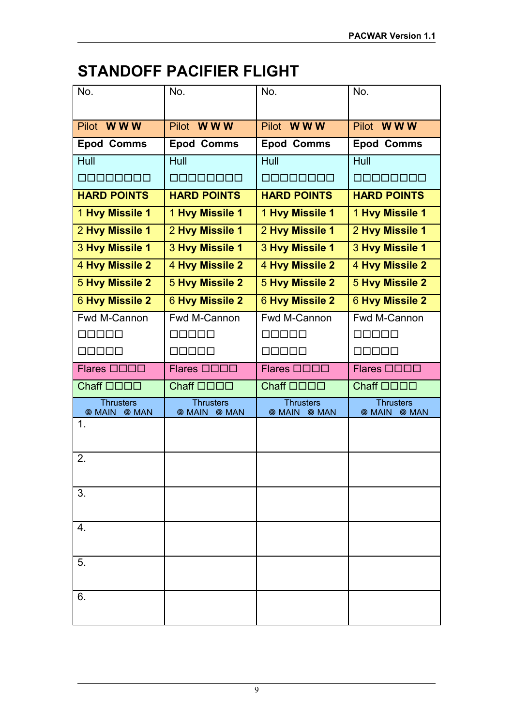## **STANDOFF PACIFIER FLIGHT**

| No.                                   | No.                                   | No.                                   | No.                                      |
|---------------------------------------|---------------------------------------|---------------------------------------|------------------------------------------|
|                                       |                                       |                                       |                                          |
| Pilot WWW                             | Pilot WWW                             | Pilot WWW                             | Pilot WWW                                |
| <b>Epod Comms</b>                     | <b>Epod Comms</b>                     | <b>Epod Comms</b>                     | <b>Epod Comms</b>                        |
| Hull                                  | Hull                                  | Hull                                  | Hull                                     |
| <b>MODERADE</b>                       | <u>manananan</u>                      | <u> E E E E E E E E E </u>            | <b>MARADAR</b>                           |
| <b>HARD POINTS</b>                    | <b>HARD POINTS</b>                    | <b>HARD POINTS</b>                    | <b>HARD POINTS</b>                       |
| 1 Hvy Missile 1                       | 1 Hvy Missile 1                       | 1 Hvy Missile 1                       | 1 Hvy Missile 1                          |
| 2 Hvy Missile 1                       | 2 Hvy Missile 1                       | 2 Hvy Missile 1                       | 2 Hvy Missile 1                          |
| 3 Hvy Missile 1                       | 3 Hvy Missile 1                       | 3 Hvy Missile 1                       | 3 Hvy Missile 1                          |
| 4 Hvy Missile 2                       | 4 Hvy Missile 2                       | 4 Hvy Missile 2                       | 4 Hvy Missile 2                          |
| <b>5 Hvy Missile 2</b>                | <b>5 Hvy Missile 2</b>                | <b>5 Hvy Missile 2</b>                | <b>5 Hvy Missile 2</b>                   |
| <b>6 Hvy Missile 2</b>                | <b>6 Hvy Missile 2</b>                | <b>6 Hvy Missile 2</b>                | <b>6 Hvy Missile 2</b>                   |
| Fwd M-Cannon                          | Fwd M-Cannon                          | Fwd M-Cannon                          | <b>Fwd M-Cannon</b>                      |
| 3000                                  | 1000                                  | 10 10 10 1                            | 7000                                     |
| 30000                                 | 10000                                 | INNNN                                 | nnnnn                                    |
| Flares <b>ODDD</b>                    | Flares <b>ODDD</b>                    | Flares <b>OOOO</b>                    | Flares <b>OOOO</b>                       |
| Chaff <b>OOOO</b>                     | Chaff <b>OOOO</b>                     | Chaff <b>OOOO</b>                     | Chaff <b>OOOO</b>                        |
| <b>Thrusters</b><br><b>MAIN @ MAN</b> | <b>Thrusters</b><br><b>MAIN @ MAN</b> | <b>Thrusters</b><br><b>MAIN @ MAN</b> | <b>Thrusters</b><br><b>MAIN</b><br>◎ MAN |
| $\mathbf 1$ .                         |                                       |                                       |                                          |
|                                       |                                       |                                       |                                          |
| 2.                                    |                                       |                                       |                                          |
| 3.                                    |                                       |                                       |                                          |
| 4.                                    |                                       |                                       |                                          |
|                                       |                                       |                                       |                                          |
| 5.                                    |                                       |                                       |                                          |
| 6.                                    |                                       |                                       |                                          |